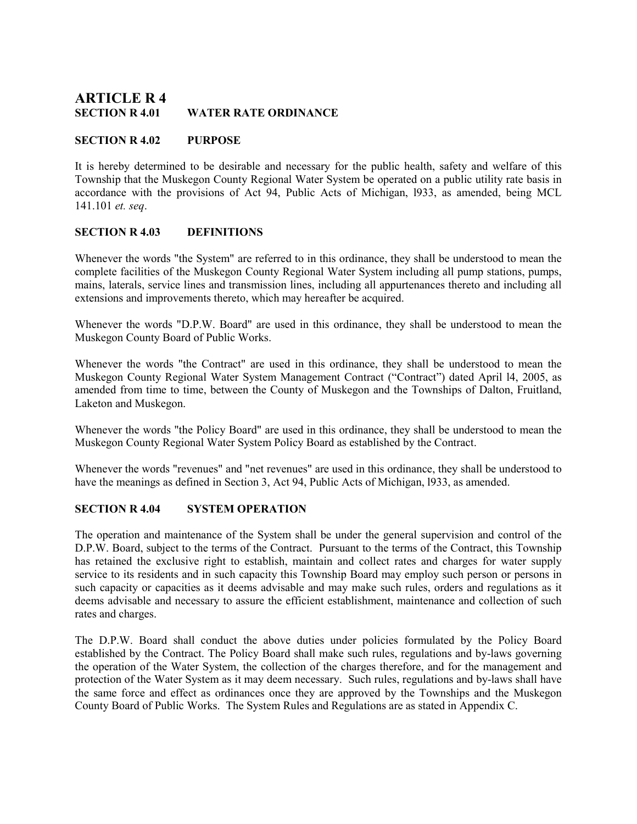# **ARTICLE R 4**<br>SECTION R 4.01 **WATER RATE ORDINANCE**

## SECTION R 4.02 PURPOSE

It is hereby determined to be desirable and necessary for the public health, safety and welfare of this Township that the Muskegon County Regional Water System be operated on a public utility rate basis in accordance with the provisions of Act 94, Public Acts of Michigan, l933, as amended, being MCL 141.101 et. seq.

## SECTION R 4.03 DEFINITIONS

Whenever the words "the System" are referred to in this ordinance, they shall be understood to mean the complete facilities of the Muskegon County Regional Water System including all pump stations, pumps, mains, laterals, service lines and transmission lines, including all appurtenances thereto and including all extensions and improvements thereto, which may hereafter be acquired.

Whenever the words "D.P.W. Board" are used in this ordinance, they shall be understood to mean the Muskegon County Board of Public Works.

Whenever the words "the Contract" are used in this ordinance, they shall be understood to mean the Muskegon County Regional Water System Management Contract ("Contract") dated April l4, 2005, as amended from time to time, between the County of Muskegon and the Townships of Dalton, Fruitland, Laketon and Muskegon.

Whenever the words "the Policy Board" are used in this ordinance, they shall be understood to mean the Muskegon County Regional Water System Policy Board as established by the Contract.

Whenever the words "revenues" and "net revenues" are used in this ordinance, they shall be understood to have the meanings as defined in Section 3, Act 94, Public Acts of Michigan, l933, as amended.

# SECTION R 4.04 SYSTEM OPERATION

The operation and maintenance of the System shall be under the general supervision and control of the D.P.W. Board, subject to the terms of the Contract. Pursuant to the terms of the Contract, this Township has retained the exclusive right to establish, maintain and collect rates and charges for water supply service to its residents and in such capacity this Township Board may employ such person or persons in such capacity or capacities as it deems advisable and may make such rules, orders and regulations as it deems advisable and necessary to assure the efficient establishment, maintenance and collection of such rates and charges.

The D.P.W. Board shall conduct the above duties under policies formulated by the Policy Board established by the Contract. The Policy Board shall make such rules, regulations and by-laws governing the operation of the Water System, the collection of the charges therefore, and for the management and protection of the Water System as it may deem necessary. Such rules, regulations and by-laws shall have the same force and effect as ordinances once they are approved by the Townships and the Muskegon County Board of Public Works. The System Rules and Regulations are as stated in Appendix C.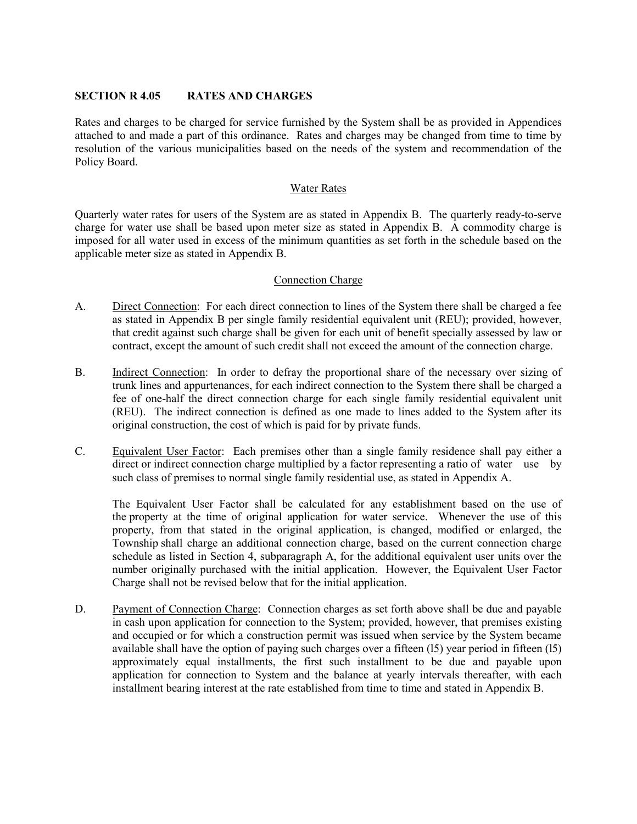#### SECTION R 4.05 RATES AND CHARGES

Rates and charges to be charged for service furnished by the System shall be as provided in Appendices attached to and made a part of this ordinance. Rates and charges may be changed from time to time by resolution of the various municipalities based on the needs of the system and recommendation of the Policy Board.

#### Water Rates

Quarterly water rates for users of the System are as stated in Appendix B. The quarterly ready-to-serve charge for water use shall be based upon meter size as stated in Appendix B. A commodity charge is imposed for all water used in excess of the minimum quantities as set forth in the schedule based on the applicable meter size as stated in Appendix B.

## Connection Charge

- A. Direct Connection: For each direct connection to lines of the System there shall be charged a fee as stated in Appendix B per single family residential equivalent unit (REU); provided, however, that credit against such charge shall be given for each unit of benefit specially assessed by law or contract, except the amount of such credit shall not exceed the amount of the connection charge.
- B. Indirect Connection: In order to defray the proportional share of the necessary over sizing of trunk lines and appurtenances, for each indirect connection to the System there shall be charged a fee of one-half the direct connection charge for each single family residential equivalent unit (REU). The indirect connection is defined as one made to lines added to the System after its original construction, the cost of which is paid for by private funds.
- C. Equivalent User Factor: Each premises other than a single family residence shall pay either a direct or indirect connection charge multiplied by a factor representing a ratio of water use by such class of premises to normal single family residential use, as stated in Appendix A.

 The Equivalent User Factor shall be calculated for any establishment based on the use of the property at the time of original application for water service. Whenever the use of this property, from that stated in the original application, is changed, modified or enlarged, the Township shall charge an additional connection charge, based on the current connection charge schedule as listed in Section 4, subparagraph A, for the additional equivalent user units over the number originally purchased with the initial application. However, the Equivalent User Factor Charge shall not be revised below that for the initial application.

D. Payment of Connection Charge: Connection charges as set forth above shall be due and payable in cash upon application for connection to the System; provided, however, that premises existing and occupied or for which a construction permit was issued when service by the System became available shall have the option of paying such charges over a fifteen (l5) year period in fifteen (l5) approximately equal installments, the first such installment to be due and payable upon application for connection to System and the balance at yearly intervals thereafter, with each installment bearing interest at the rate established from time to time and stated in Appendix B.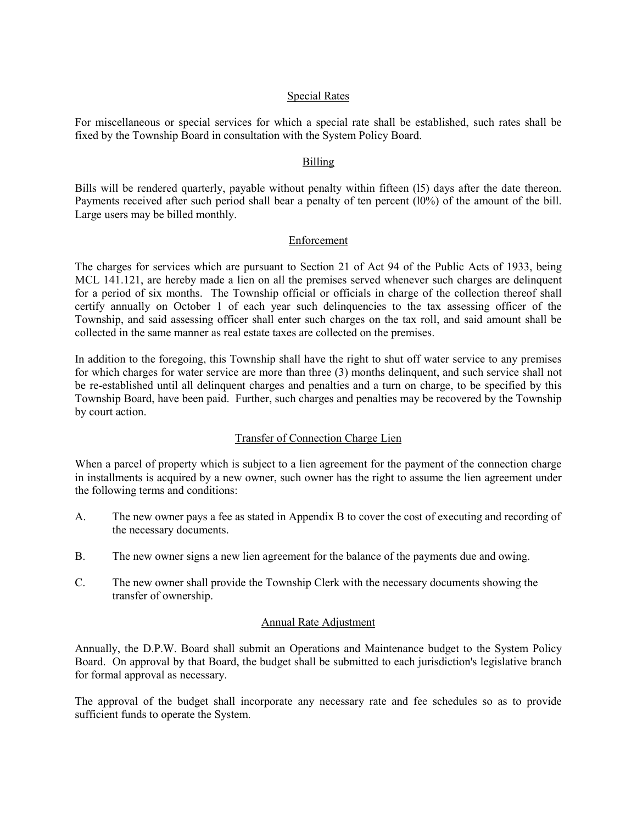#### Special Rates

For miscellaneous or special services for which a special rate shall be established, such rates shall be fixed by the Township Board in consultation with the System Policy Board.

## Billing

Bills will be rendered quarterly, payable without penalty within fifteen (l5) days after the date thereon. Payments received after such period shall bear a penalty of ten percent (l0%) of the amount of the bill. Large users may be billed monthly.

#### Enforcement

The charges for services which are pursuant to Section 21 of Act 94 of the Public Acts of 1933, being MCL 141.121, are hereby made a lien on all the premises served whenever such charges are delinquent for a period of six months. The Township official or officials in charge of the collection thereof shall certify annually on October 1 of each year such delinquencies to the tax assessing officer of the Township, and said assessing officer shall enter such charges on the tax roll, and said amount shall be collected in the same manner as real estate taxes are collected on the premises.

In addition to the foregoing, this Township shall have the right to shut off water service to any premises for which charges for water service are more than three (3) months delinquent, and such service shall not be re-established until all delinquent charges and penalties and a turn on charge, to be specified by this Township Board, have been paid. Further, such charges and penalties may be recovered by the Township by court action.

## Transfer of Connection Charge Lien

When a parcel of property which is subject to a lien agreement for the payment of the connection charge in installments is acquired by a new owner, such owner has the right to assume the lien agreement under the following terms and conditions:

- A. The new owner pays a fee as stated in Appendix B to cover the cost of executing and recording of the necessary documents.
- B. The new owner signs a new lien agreement for the balance of the payments due and owing.
- C. The new owner shall provide the Township Clerk with the necessary documents showing the transfer of ownership.

## Annual Rate Adjustment

Annually, the D.P.W. Board shall submit an Operations and Maintenance budget to the System Policy Board. On approval by that Board, the budget shall be submitted to each jurisdiction's legislative branch for formal approval as necessary.

The approval of the budget shall incorporate any necessary rate and fee schedules so as to provide sufficient funds to operate the System.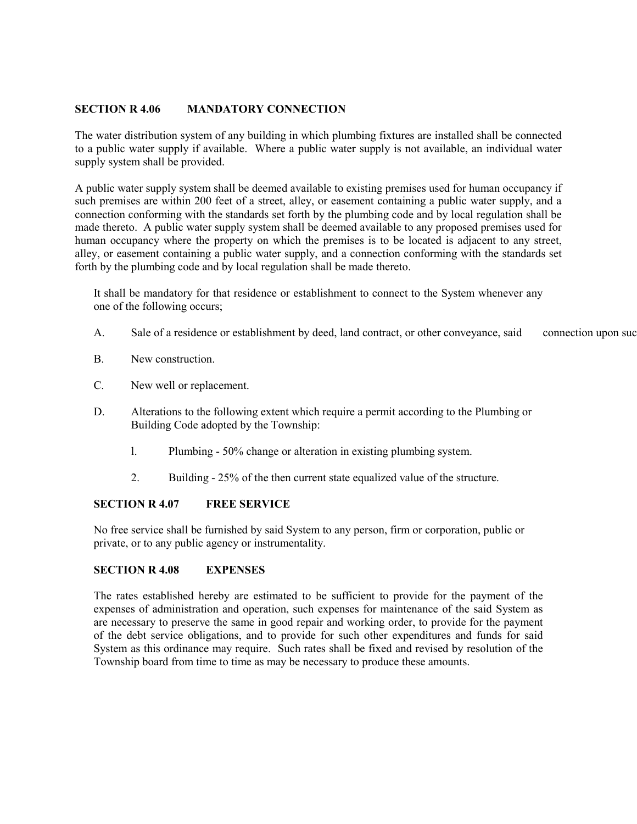## SECTION R 4.06 MANDATORY CONNECTION

The water distribution system of any building in which plumbing fixtures are installed shall be connected to a public water supply if available. Where a public water supply is not available, an individual water supply system shall be provided.

A public water supply system shall be deemed available to existing premises used for human occupancy if such premises are within 200 feet of a street, alley, or easement containing a public water supply, and a connection conforming with the standards set forth by the plumbing code and by local regulation shall be made thereto. A public water supply system shall be deemed available to any proposed premises used for human occupancy where the property on which the premises is to be located is adjacent to any street, alley, or easement containing a public water supply, and a connection conforming with the standards set forth by the plumbing code and by local regulation shall be made thereto.

It shall be mandatory for that residence or establishment to connect to the System whenever any one of the following occurs;

- A. Sale of a residence or establishment by deed, land contract, or other conveyance, said connection upon such
- B. New construction.
- C. New well or replacement.
- D. Alterations to the following extent which require a permit according to the Plumbing or Building Code adopted by the Township:
	- l. Plumbing 50% change or alteration in existing plumbing system.
	- 2. Building 25% of the then current state equalized value of the structure.

## SECTION R 4.07 FREE SERVICE

No free service shall be furnished by said System to any person, firm or corporation, public or private, or to any public agency or instrumentality.

## SECTION R 4.08 EXPENSES

The rates established hereby are estimated to be sufficient to provide for the payment of the expenses of administration and operation, such expenses for maintenance of the said System as are necessary to preserve the same in good repair and working order, to provide for the payment of the debt service obligations, and to provide for such other expenditures and funds for said System as this ordinance may require. Such rates shall be fixed and revised by resolution of the Township board from time to time as may be necessary to produce these amounts.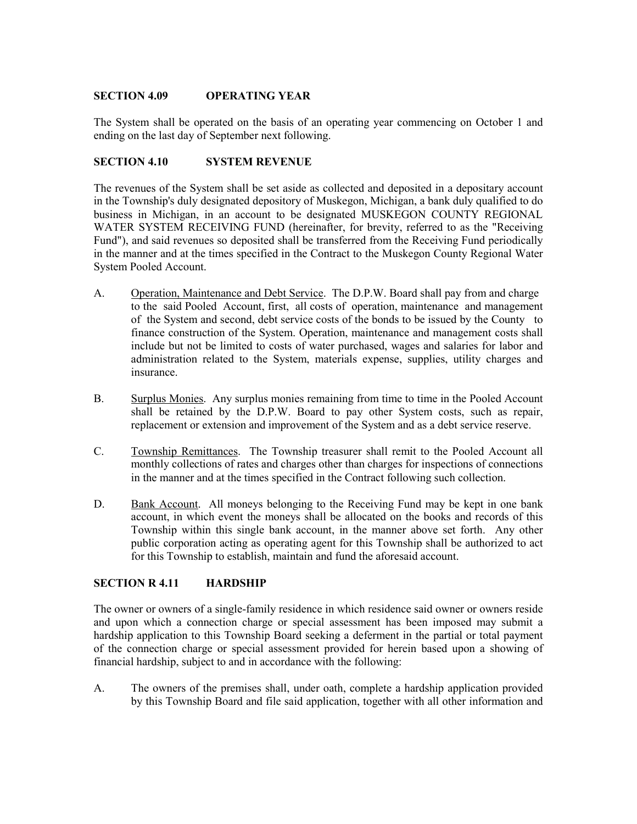## SECTION 4.09 OPERATING YEAR

The System shall be operated on the basis of an operating year commencing on October 1 and ending on the last day of September next following.

## SECTION 4.10 SYSTEM REVENUE

The revenues of the System shall be set aside as collected and deposited in a depositary account in the Township's duly designated depository of Muskegon, Michigan, a bank duly qualified to do business in Michigan, in an account to be designated MUSKEGON COUNTY REGIONAL WATER SYSTEM RECEIVING FUND (hereinafter, for brevity, referred to as the "Receiving Fund"), and said revenues so deposited shall be transferred from the Receiving Fund periodically in the manner and at the times specified in the Contract to the Muskegon County Regional Water System Pooled Account.

- A. Operation, Maintenance and Debt Service. The D.P.W. Board shall pay from and charge to the said Pooled Account, first, all costs of operation, maintenance and management of the System and second, debt service costs of the bonds to be issued by the County to finance construction of the System. Operation, maintenance and management costs shall include but not be limited to costs of water purchased, wages and salaries for labor and administration related to the System, materials expense, supplies, utility charges and insurance.
- B. Surplus Monies. Any surplus monies remaining from time to time in the Pooled Account shall be retained by the D.P.W. Board to pay other System costs, such as repair, replacement or extension and improvement of the System and as a debt service reserve.
- C. Township Remittances. The Township treasurer shall remit to the Pooled Account all monthly collections of rates and charges other than charges for inspections of connections in the manner and at the times specified in the Contract following such collection.
- D. Bank Account. All moneys belonging to the Receiving Fund may be kept in one bank account, in which event the moneys shall be allocated on the books and records of this Township within this single bank account, in the manner above set forth. Any other public corporation acting as operating agent for this Township shall be authorized to act for this Township to establish, maintain and fund the aforesaid account.

# SECTION R 4.11 HARDSHIP

The owner or owners of a single-family residence in which residence said owner or owners reside and upon which a connection charge or special assessment has been imposed may submit a hardship application to this Township Board seeking a deferment in the partial or total payment of the connection charge or special assessment provided for herein based upon a showing of financial hardship, subject to and in accordance with the following:

A. The owners of the premises shall, under oath, complete a hardship application provided by this Township Board and file said application, together with all other information and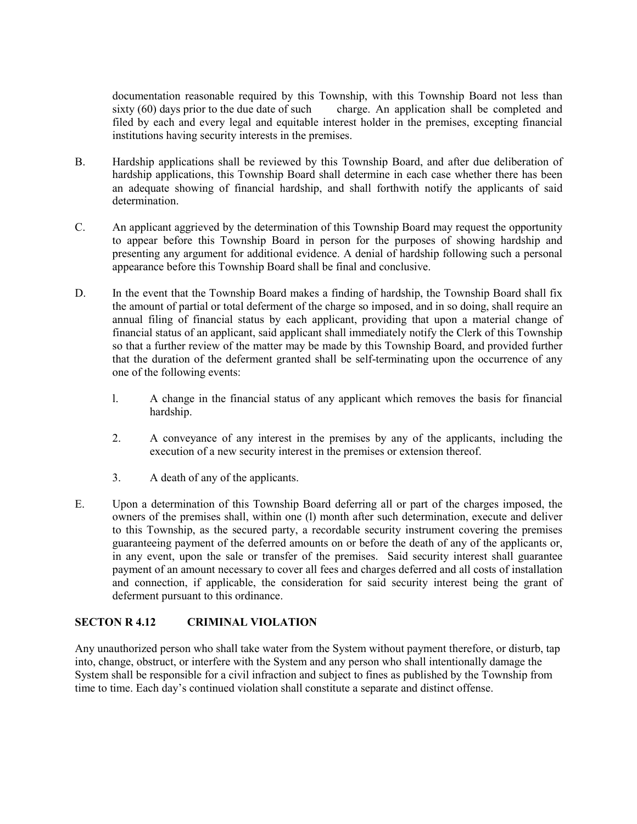documentation reasonable required by this Township, with this Township Board not less than sixty (60) days prior to the due date of such charge. An application shall be completed and charge. An application shall be completed and filed by each and every legal and equitable interest holder in the premises, excepting financial institutions having security interests in the premises.

- B. Hardship applications shall be reviewed by this Township Board, and after due deliberation of hardship applications, this Township Board shall determine in each case whether there has been an adequate showing of financial hardship, and shall forthwith notify the applicants of said determination.
- C. An applicant aggrieved by the determination of this Township Board may request the opportunity to appear before this Township Board in person for the purposes of showing hardship and presenting any argument for additional evidence. A denial of hardship following such a personal appearance before this Township Board shall be final and conclusive.
- D. In the event that the Township Board makes a finding of hardship, the Township Board shall fix the amount of partial or total deferment of the charge so imposed, and in so doing, shall require an annual filing of financial status by each applicant, providing that upon a material change of financial status of an applicant, said applicant shall immediately notify the Clerk of this Township so that a further review of the matter may be made by this Township Board, and provided further that the duration of the deferment granted shall be self-terminating upon the occurrence of any one of the following events:
	- l. A change in the financial status of any applicant which removes the basis for financial hardship.
	- 2. A conveyance of any interest in the premises by any of the applicants, including the execution of a new security interest in the premises or extension thereof.
	- 3. A death of any of the applicants.
- E. Upon a determination of this Township Board deferring all or part of the charges imposed, the owners of the premises shall, within one (l) month after such determination, execute and deliver to this Township, as the secured party, a recordable security instrument covering the premises guaranteeing payment of the deferred amounts on or before the death of any of the applicants or, in any event, upon the sale or transfer of the premises. Said security interest shall guarantee payment of an amount necessary to cover all fees and charges deferred and all costs of installation and connection, if applicable, the consideration for said security interest being the grant of deferment pursuant to this ordinance.

## SECTON R 4.12 CRIMINAL VIOLATION

Any unauthorized person who shall take water from the System without payment therefore, or disturb, tap into, change, obstruct, or interfere with the System and any person who shall intentionally damage the System shall be responsible for a civil infraction and subject to fines as published by the Township from time to time. Each day's continued violation shall constitute a separate and distinct offense.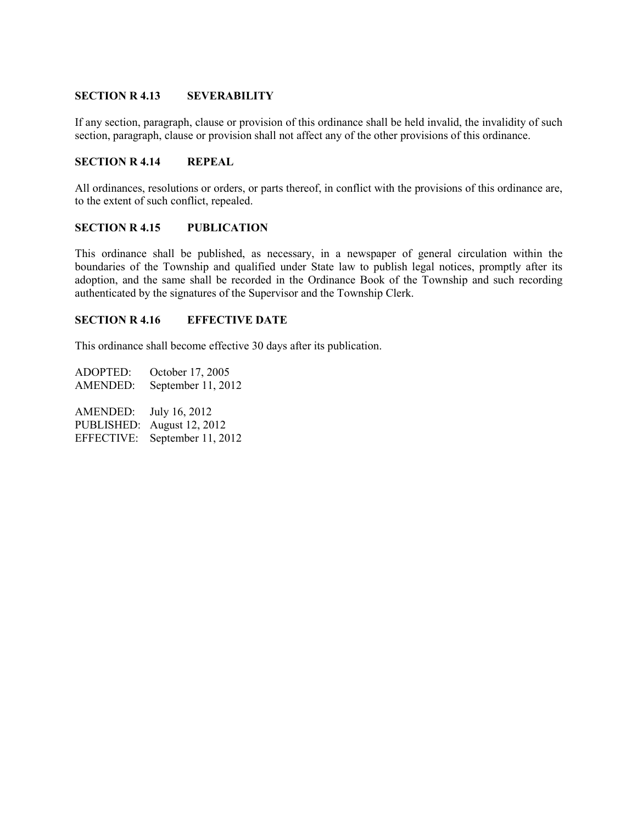## SECTION R 4.13 SEVERABILITY

If any section, paragraph, clause or provision of this ordinance shall be held invalid, the invalidity of such section, paragraph, clause or provision shall not affect any of the other provisions of this ordinance.

## SECTION R 4.14 REPEAL

All ordinances, resolutions or orders, or parts thereof, in conflict with the provisions of this ordinance are, to the extent of such conflict, repealed.

#### SECTION R 4.15 PUBLICATION

This ordinance shall be published, as necessary, in a newspaper of general circulation within the boundaries of the Township and qualified under State law to publish legal notices, promptly after its adoption, and the same shall be recorded in the Ordinance Book of the Township and such recording authenticated by the signatures of the Supervisor and the Township Clerk.

## SECTION R 4.16 EFFECTIVE DATE

This ordinance shall become effective 30 days after its publication.

ADOPTED: October 17, 2005 AMENDED: September 11, 2012 AMENDED: July 16, 2012 PUBLISHED: August 12, 2012 EFFECTIVE: September 11, 2012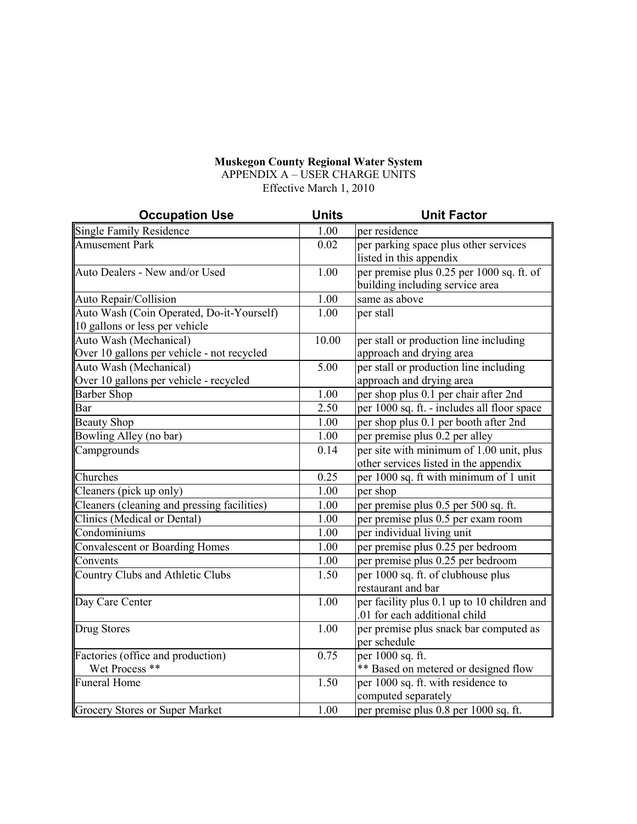## Muskegon County Regional Water System

APPENDIX A – USER CHARGE UNITS Effective March 1, 2010

| <b>Occupation Use</b>                                                                   | <b>Units</b> | <b>Unit Factor</b>                                                           |
|-----------------------------------------------------------------------------------------|--------------|------------------------------------------------------------------------------|
| Single Family Residence                                                                 | 1.00         | per residence                                                                |
| <b>Amusement Park</b>                                                                   | 0.02         | per parking space plus other services<br>listed in this appendix             |
| Auto Dealers - New and/or Used                                                          | 1.00         | per premise plus 0.25 per 1000 sq. ft. of<br>building including service area |
| Auto Repair/Collision                                                                   | 1.00         | same as above                                                                |
| Auto Wash (Coin Operated, Do-it-Yourself)<br>$\parallel$ 10 gallons or less per vehicle | 1.00         | per stall                                                                    |
| Auto Wash (Mechanical)                                                                  | 10.00        | per stall or production line including                                       |
| Over 10 gallons per vehicle - not recycled                                              |              | approach and drying area                                                     |
| Auto Wash (Mechanical)                                                                  | 5.00         | per stall or production line including                                       |
| Over 10 gallons per vehicle - recycled                                                  |              | approach and drying area                                                     |
| <b>Barber Shop</b>                                                                      | 1.00         | per shop plus 0.1 per chair after 2nd                                        |
| Bar                                                                                     | 2.50         | per 1000 sq. ft. - includes all floor space                                  |
| <b>Beauty Shop</b>                                                                      | 1.00         | per shop plus 0.1 per booth after 2nd                                        |
| Bowling Alley (no bar)                                                                  | 1.00         | per premise plus 0.2 per alley                                               |
| Campgrounds                                                                             | 0.14         | per site with minimum of 1.00 unit, plus                                     |
|                                                                                         |              | other services listed in the appendix                                        |
| Churches                                                                                | 0.25         | per 1000 sq. ft with minimum of 1 unit                                       |
| Cleaners (pick up only)                                                                 | 1.00         | per shop                                                                     |
| Cleaners (cleaning and pressing facilities)                                             | 1.00         | per premise plus 0.5 per 500 sq. ft.                                         |
| Clinics (Medical or Dental)                                                             | 1.00         | per premise plus 0.5 per exam room                                           |
| Condominiums                                                                            | 1.00         | per individual living unit                                                   |
| Convalescent or Boarding Homes                                                          | 1.00         | per premise plus 0.25 per bedroom                                            |
| Convents                                                                                | 1.00         | per premise plus 0.25 per bedroom                                            |
| Country Clubs and Athletic Clubs                                                        | 1.50         | per 1000 sq. ft. of clubhouse plus                                           |
|                                                                                         |              | restaurant and bar                                                           |
| Day Care Center                                                                         | 1.00         | per facility plus 0.1 up to 10 children and                                  |
|                                                                                         |              | .01 for each additional child                                                |
| Drug Stores                                                                             | 1.00         | per premise plus snack bar computed as                                       |
|                                                                                         |              | per schedule                                                                 |
| Factories (office and production)                                                       | 0.75         | per 1000 sq. ft.                                                             |
| Wet Process **                                                                          |              | ** Based on metered or designed flow                                         |
| Funeral Home                                                                            | 1.50         | per 1000 sq. ft. with residence to                                           |
|                                                                                         |              | computed separately                                                          |
| Grocery Stores or Super Market                                                          | 1.00         | per premise plus 0.8 per 1000 sq. ft.                                        |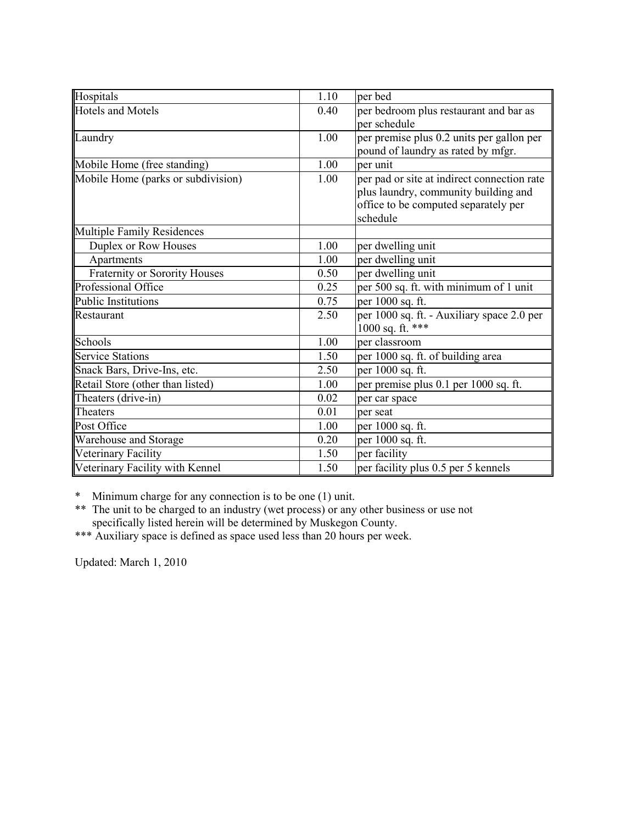| Hospitals                          | 1.10 | per bed                                                                                                                                 |
|------------------------------------|------|-----------------------------------------------------------------------------------------------------------------------------------------|
| Hotels and Motels                  | 0.40 | per bedroom plus restaurant and bar as<br>per schedule                                                                                  |
| Laundry                            | 1.00 | per premise plus 0.2 units per gallon per<br>pound of laundry as rated by mfgr.                                                         |
| Mobile Home (free standing)        | 1.00 | per unit                                                                                                                                |
| Mobile Home (parks or subdivision) | 1.00 | per pad or site at indirect connection rate<br>plus laundry, community building and<br>office to be computed separately per<br>schedule |
| Multiple Family Residences         |      |                                                                                                                                         |
| Duplex or Row Houses               | 1.00 | per dwelling unit                                                                                                                       |
| Apartments                         | 1.00 | per dwelling unit                                                                                                                       |
| Fraternity or Sorority Houses      | 0.50 | per dwelling unit                                                                                                                       |
| Professional Office                | 0.25 | per 500 sq. ft. with minimum of $\overline{1}$ unit                                                                                     |
| Public Institutions                | 0.75 | per 1000 sq. ft.                                                                                                                        |
| Restaurant                         | 2.50 | per 1000 sq. ft. - Auxiliary space 2.0 per<br>1000 sq. ft. ***                                                                          |
| Schools                            | 1.00 | per classroom                                                                                                                           |
| <b>Service Stations</b>            | 1.50 | per 1000 sq. ft. of building area                                                                                                       |
| Snack Bars, Drive-Ins, etc.        | 2.50 | per 1000 sq. ft.                                                                                                                        |
| Retail Store (other than listed)   | 1.00 | per premise plus 0.1 per 1000 sq. ft.                                                                                                   |
| Theaters (drive-in)                | 0.02 | per car space                                                                                                                           |
| Theaters                           | 0.01 | per seat                                                                                                                                |
| Post Office                        | 1.00 | per 1000 sq. ft.                                                                                                                        |
| <b>Warehouse and Storage</b>       | 0.20 | per 1000 sq. ft.                                                                                                                        |
| Veterinary Facility                | 1.50 | per facility                                                                                                                            |
| Veterinary Facility with Kennel    | 1.50 | per facility plus 0.5 per 5 kennels                                                                                                     |

\* Minimum charge for any connection is to be one (1) unit.

\*\* The unit to be charged to an industry (wet process) or any other business or use not specifically listed herein will be determined by Muskegon County.

\*\*\* Auxiliary space is defined as space used less than 20 hours per week.

Updated: March 1, 2010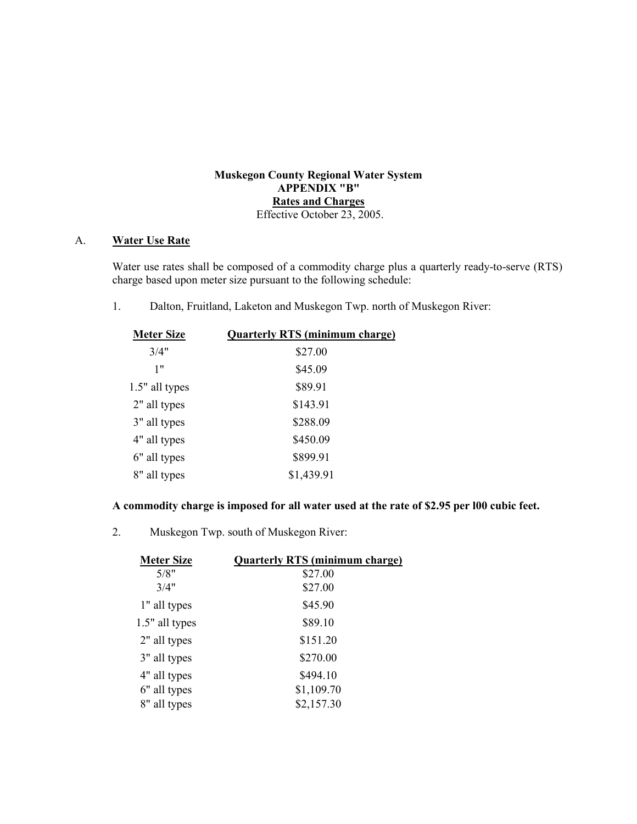## Muskegon County Regional Water System APPENDIX "B" Rates and Charges Effective October 23, 2005.

## A. Water Use Rate

Water use rates shall be composed of a commodity charge plus a quarterly ready-to-serve (RTS) charge based upon meter size pursuant to the following schedule:

1. Dalton, Fruitland, Laketon and Muskegon Twp. north of Muskegon River:

| <b>Meter Size</b> | <b>Quarterly RTS (minimum charge)</b> |
|-------------------|---------------------------------------|
| 3/4"              | \$27.00                               |
| 1"                | \$45.09                               |
| 1.5" all types    | \$89.91                               |
| 2" all types      | \$143.91                              |
| 3" all types      | \$288.09                              |
| 4" all types      | \$450.09                              |
| 6" all types      | \$899.91                              |
| 8" all types      | \$1,439.91                            |

# A commodity charge is imposed for all water used at the rate of \$2.95 per l00 cubic feet.

2. Muskegon Twp. south of Muskegon River:

| <b>Meter Size</b> | <b>Quarterly RTS (minimum charge)</b> |
|-------------------|---------------------------------------|
| 5/8"              | \$27.00                               |
| 3/4"              | \$27.00                               |
| 1" all types      | \$45.90                               |
| 1.5" all types    | \$89.10                               |
| 2" all types      | \$151.20                              |
| 3" all types      | \$270.00                              |
| 4" all types      | \$494.10                              |
| 6" all types      | \$1,109.70                            |
| 8" all types      | \$2,157.30                            |
|                   |                                       |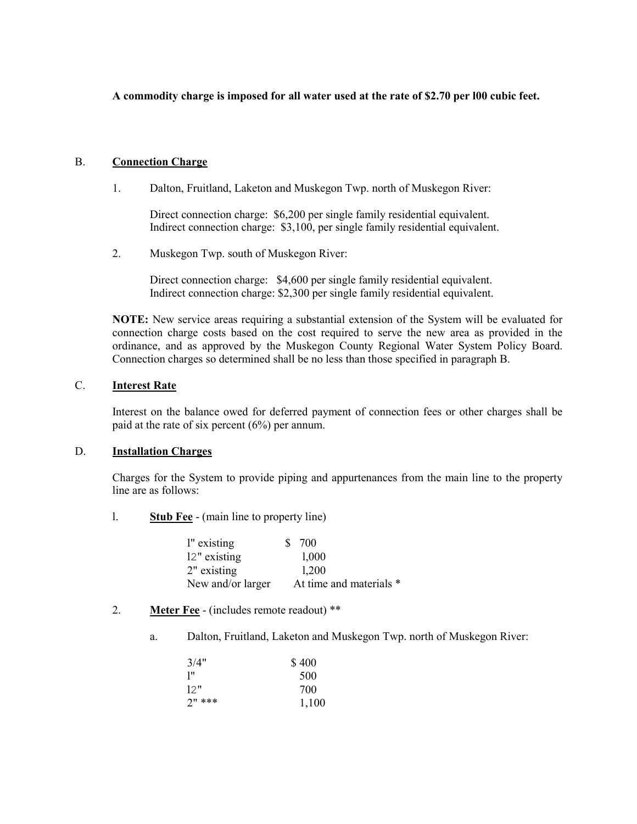## A commodity charge is imposed for all water used at the rate of \$2.70 per l00 cubic feet.

## B. Connection Charge

1. Dalton, Fruitland, Laketon and Muskegon Twp. north of Muskegon River:

Direct connection charge: \$6,200 per single family residential equivalent. Indirect connection charge: \$3,100, per single family residential equivalent.

2. Muskegon Twp. south of Muskegon River:

Direct connection charge: \$4,600 per single family residential equivalent. Indirect connection charge: \$2,300 per single family residential equivalent.

NOTE: New service areas requiring a substantial extension of the System will be evaluated for connection charge costs based on the cost required to serve the new area as provided in the ordinance, and as approved by the Muskegon County Regional Water System Policy Board. Connection charges so determined shall be no less than those specified in paragraph B.

## C. Interest Rate

Interest on the balance owed for deferred payment of connection fees or other charges shall be paid at the rate of six percent (6%) per annum.

#### D. Installation Charges

Charges for the System to provide piping and appurtenances from the main line to the property line are as follows:

l. Stub Fee - (main line to property line)

| l" existing | S.                | 700                     |
|-------------|-------------------|-------------------------|
|             | 12" existing      | 1,000                   |
| 2" existing |                   | 1,200                   |
|             | New and/or larger | At time and materials * |

- 2. Meter Fee (includes remote readout) \*\*
	- a. Dalton, Fruitland, Laketon and Muskegon Twp. north of Muskegon River:

| 3/4"     | \$400 |
|----------|-------|
| יין      | 500   |
| 12"      | 700   |
| $2"$ *** | 1,100 |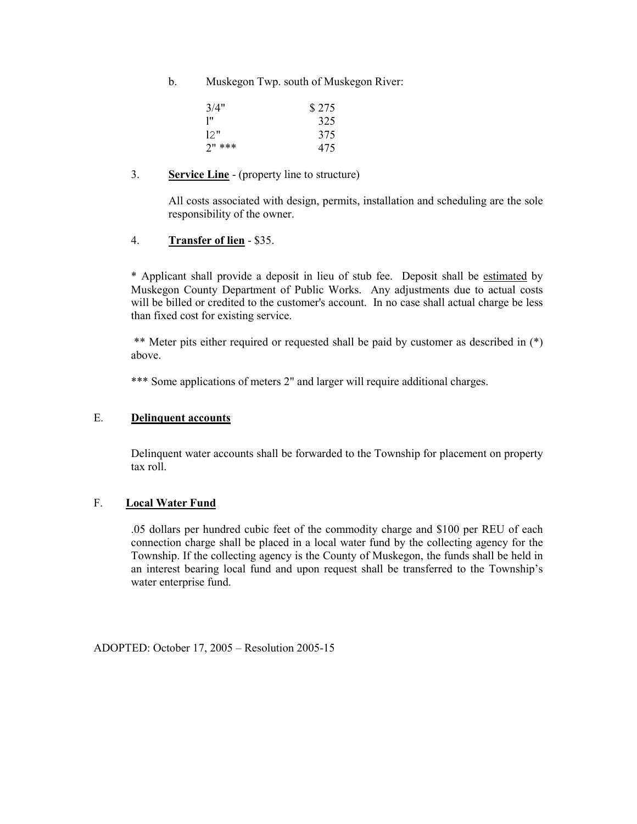b. Muskegon Twp. south of Muskegon River:

| 3/4"     | \$275 |
|----------|-------|
| יין      | 325   |
| 12"      | 375   |
| $2"$ *** | 475   |

## 3. Service Line - (property line to structure)

All costs associated with design, permits, installation and scheduling are the sole responsibility of the owner.

## 4. Transfer of lien - \$35.

\* Applicant shall provide a deposit in lieu of stub fee. Deposit shall be estimated by Muskegon County Department of Public Works. Any adjustments due to actual costs will be billed or credited to the customer's account. In no case shall actual charge be less than fixed cost for existing service.

 \*\* Meter pits either required or requested shall be paid by customer as described in (\*) above.

\*\*\* Some applications of meters 2" and larger will require additional charges.

## E. Delinquent accounts

Delinquent water accounts shall be forwarded to the Township for placement on property tax roll.

## F. Local Water Fund

 .05 dollars per hundred cubic feet of the commodity charge and \$100 per REU of each connection charge shall be placed in a local water fund by the collecting agency for the Township. If the collecting agency is the County of Muskegon, the funds shall be held in an interest bearing local fund and upon request shall be transferred to the Township's water enterprise fund.

ADOPTED: October 17, 2005 – Resolution 2005-15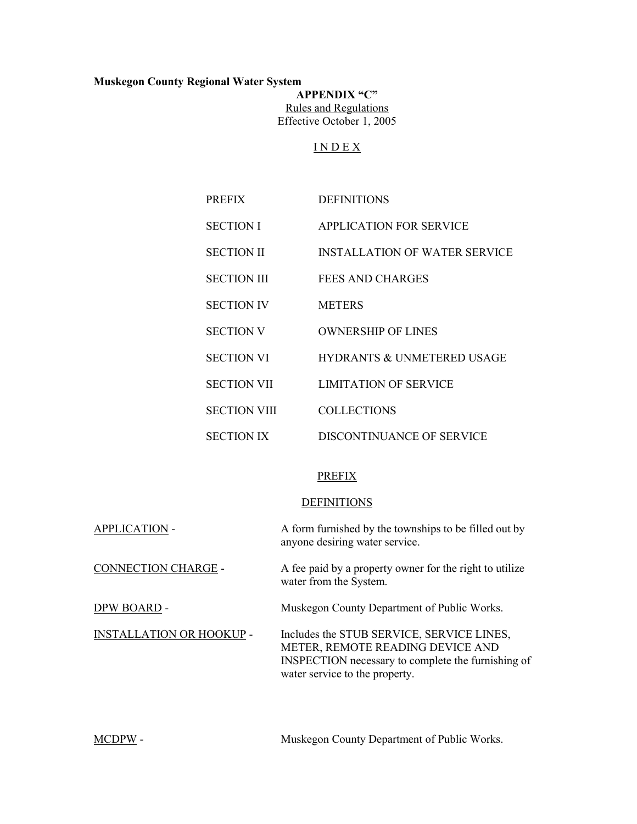# Muskegon County Regional Water System

APPENDIX "C" Rules and Regulations Effective October 1, 2005

# I N D E X

| <b>PREFIX</b>       | <b>DEFINITIONS</b>                    |
|---------------------|---------------------------------------|
| <b>SECTION I</b>    | <b>APPLICATION FOR SERVICE</b>        |
| <b>SECTION II</b>   | <b>INSTALLATION OF WATER SERVICE</b>  |
| <b>SECTION III</b>  | FEES AND CHARGES                      |
| <b>SECTION IV</b>   | <b>METERS</b>                         |
| <b>SECTION V</b>    | <b>OWNERSHIP OF LINES</b>             |
| <b>SECTION VI</b>   | <b>HYDRANTS &amp; UNMETERED USAGE</b> |
| <b>SECTION VII</b>  | <b>LIMITATION OF SERVICE</b>          |
| <b>SECTION VIII</b> | <b>COLLECTIONS</b>                    |
| <b>SECTION IX</b>   | DISCONTINUANCE OF SERVICE             |

# PREFIX

#### **DEFINITIONS**

| <b>APPLICATION -</b>            | A form furnished by the townships to be filled out by<br>anyone desiring water service.                                                                               |
|---------------------------------|-----------------------------------------------------------------------------------------------------------------------------------------------------------------------|
| <b>CONNECTION CHARGE -</b>      | A fee paid by a property owner for the right to utilize<br>water from the System.                                                                                     |
| DPW BOARD -                     | Muskegon County Department of Public Works.                                                                                                                           |
| <b>INSTALLATION OR HOOKUP -</b> | Includes the STUB SERVICE, SERVICE LINES,<br>METER, REMOTE READING DEVICE AND<br>INSPECTION necessary to complete the furnishing of<br>water service to the property. |

MCDPW - Muskegon County Department of Public Works.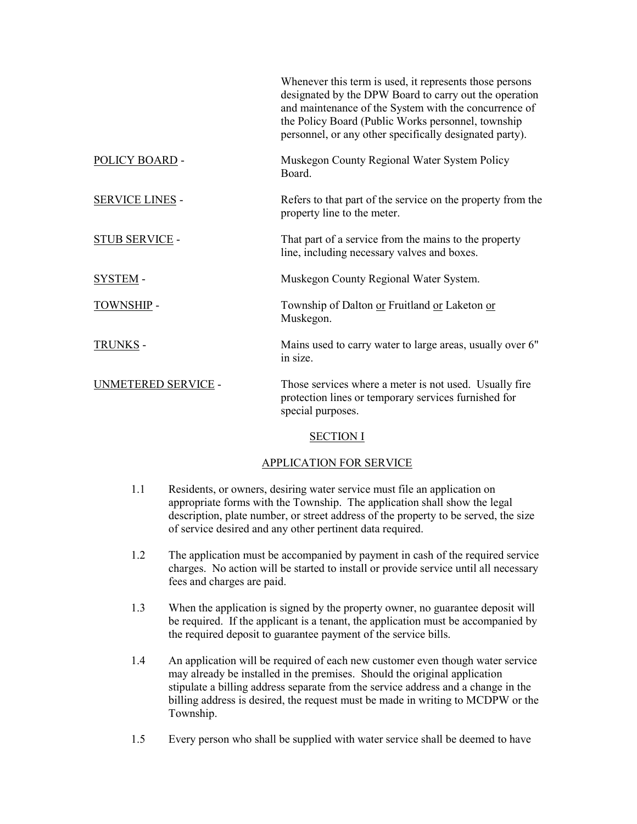|                        | Whenever this term is used, it represents those persons<br>designated by the DPW Board to carry out the operation<br>and maintenance of the System with the concurrence of<br>the Policy Board (Public Works personnel, township<br>personnel, or any other specifically designated party). |
|------------------------|---------------------------------------------------------------------------------------------------------------------------------------------------------------------------------------------------------------------------------------------------------------------------------------------|
| POLICY BOARD -         | Muskegon County Regional Water System Policy<br>Board.                                                                                                                                                                                                                                      |
| <b>SERVICE LINES -</b> | Refers to that part of the service on the property from the<br>property line to the meter.                                                                                                                                                                                                  |
| <b>STUB SERVICE -</b>  | That part of a service from the mains to the property<br>line, including necessary valves and boxes.                                                                                                                                                                                        |
| <b>SYSTEM-</b>         | Muskegon County Regional Water System.                                                                                                                                                                                                                                                      |
| <b>TOWNSHIP -</b>      | Township of Dalton or Fruitland or Laketon or<br>Muskegon.                                                                                                                                                                                                                                  |
| <b>TRUNKS -</b>        | Mains used to carry water to large areas, usually over 6"<br>in size.                                                                                                                                                                                                                       |
| UNMETERED SERVICE -    | Those services where a meter is not used. Usually fire<br>protection lines or temporary services furnished for<br>special purposes.                                                                                                                                                         |

# SECTION I

# APPLICATION FOR SERVICE

- 1.1 Residents, or owners, desiring water service must file an application on appropriate forms with the Township. The application shall show the legal description, plate number, or street address of the property to be served, the size of service desired and any other pertinent data required.
- 1.2 The application must be accompanied by payment in cash of the required service charges. No action will be started to install or provide service until all necessary fees and charges are paid.
- 1.3 When the application is signed by the property owner, no guarantee deposit will be required. If the applicant is a tenant, the application must be accompanied by the required deposit to guarantee payment of the service bills.
- 1.4 An application will be required of each new customer even though water service may already be installed in the premises. Should the original application stipulate a billing address separate from the service address and a change in the billing address is desired, the request must be made in writing to MCDPW or the Township.
- 1.5 Every person who shall be supplied with water service shall be deemed to have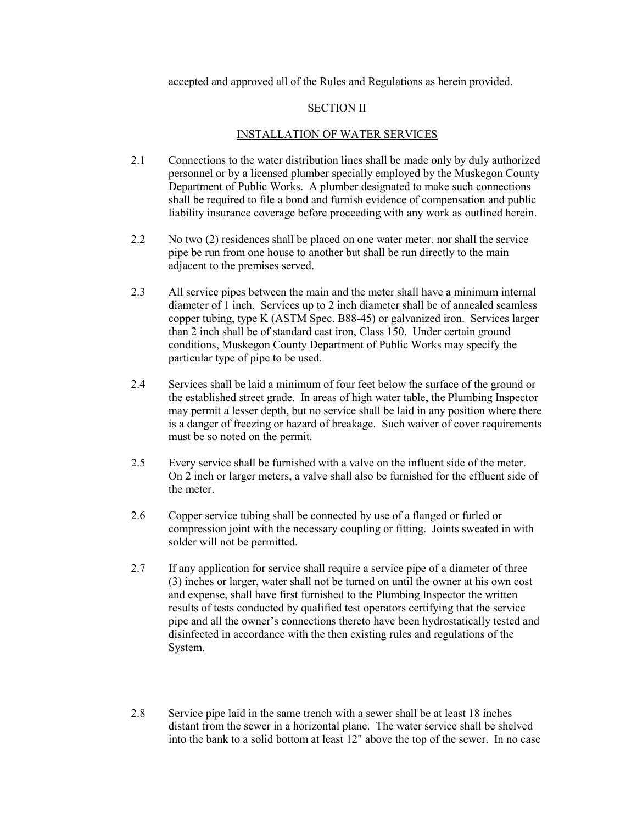accepted and approved all of the Rules and Regulations as herein provided.

#### SECTION II

#### INSTALLATION OF WATER SERVICES

- 2.1 Connections to the water distribution lines shall be made only by duly authorized personnel or by a licensed plumber specially employed by the Muskegon County Department of Public Works. A plumber designated to make such connections shall be required to file a bond and furnish evidence of compensation and public liability insurance coverage before proceeding with any work as outlined herein.
- 2.2 No two (2) residences shall be placed on one water meter, nor shall the service pipe be run from one house to another but shall be run directly to the main adjacent to the premises served.
- 2.3 All service pipes between the main and the meter shall have a minimum internal diameter of 1 inch. Services up to 2 inch diameter shall be of annealed seamless copper tubing, type K (ASTM Spec. B88-45) or galvanized iron. Services larger than 2 inch shall be of standard cast iron, Class 150. Under certain ground conditions, Muskegon County Department of Public Works may specify the particular type of pipe to be used.
- 2.4 Services shall be laid a minimum of four feet below the surface of the ground or the established street grade. In areas of high water table, the Plumbing Inspector may permit a lesser depth, but no service shall be laid in any position where there is a danger of freezing or hazard of breakage. Such waiver of cover requirements must be so noted on the permit.
- 2.5 Every service shall be furnished with a valve on the influent side of the meter. On 2 inch or larger meters, a valve shall also be furnished for the effluent side of the meter.
- 2.6 Copper service tubing shall be connected by use of a flanged or furled or compression joint with the necessary coupling or fitting. Joints sweated in with solder will not be permitted.
- 2.7 If any application for service shall require a service pipe of a diameter of three (3) inches or larger, water shall not be turned on until the owner at his own cost and expense, shall have first furnished to the Plumbing Inspector the written results of tests conducted by qualified test operators certifying that the service pipe and all the owner's connections thereto have been hydrostatically tested and disinfected in accordance with the then existing rules and regulations of the System.
- 2.8 Service pipe laid in the same trench with a sewer shall be at least 18 inches distant from the sewer in a horizontal plane. The water service shall be shelved into the bank to a solid bottom at least 12" above the top of the sewer. In no case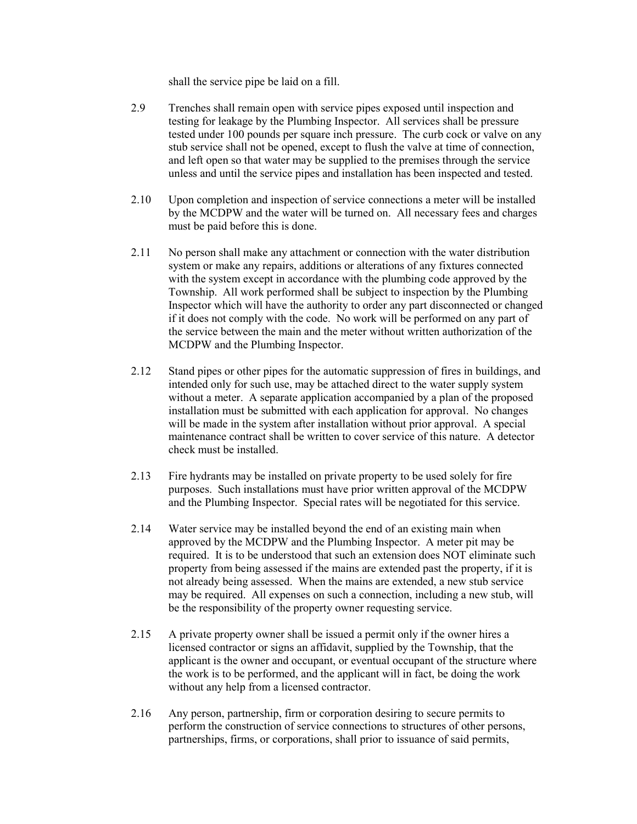shall the service pipe be laid on a fill.

- 2.9 Trenches shall remain open with service pipes exposed until inspection and testing for leakage by the Plumbing Inspector. All services shall be pressure tested under 100 pounds per square inch pressure. The curb cock or valve on any stub service shall not be opened, except to flush the valve at time of connection, and left open so that water may be supplied to the premises through the service unless and until the service pipes and installation has been inspected and tested.
- 2.10 Upon completion and inspection of service connections a meter will be installed by the MCDPW and the water will be turned on. All necessary fees and charges must be paid before this is done.
- 2.11 No person shall make any attachment or connection with the water distribution system or make any repairs, additions or alterations of any fixtures connected with the system except in accordance with the plumbing code approved by the Township. All work performed shall be subject to inspection by the Plumbing Inspector which will have the authority to order any part disconnected or changed if it does not comply with the code. No work will be performed on any part of the service between the main and the meter without written authorization of the MCDPW and the Plumbing Inspector.
- 2.12 Stand pipes or other pipes for the automatic suppression of fires in buildings, and intended only for such use, may be attached direct to the water supply system without a meter. A separate application accompanied by a plan of the proposed installation must be submitted with each application for approval. No changes will be made in the system after installation without prior approval. A special maintenance contract shall be written to cover service of this nature. A detector check must be installed.
- 2.13 Fire hydrants may be installed on private property to be used solely for fire purposes. Such installations must have prior written approval of the MCDPW and the Plumbing Inspector. Special rates will be negotiated for this service.
- 2.14 Water service may be installed beyond the end of an existing main when approved by the MCDPW and the Plumbing Inspector. A meter pit may be required. It is to be understood that such an extension does NOT eliminate such property from being assessed if the mains are extended past the property, if it is not already being assessed. When the mains are extended, a new stub service may be required. All expenses on such a connection, including a new stub, will be the responsibility of the property owner requesting service.
- 2.15 A private property owner shall be issued a permit only if the owner hires a licensed contractor or signs an affidavit, supplied by the Township, that the applicant is the owner and occupant, or eventual occupant of the structure where the work is to be performed, and the applicant will in fact, be doing the work without any help from a licensed contractor.
- 2.16 Any person, partnership, firm or corporation desiring to secure permits to perform the construction of service connections to structures of other persons, partnerships, firms, or corporations, shall prior to issuance of said permits,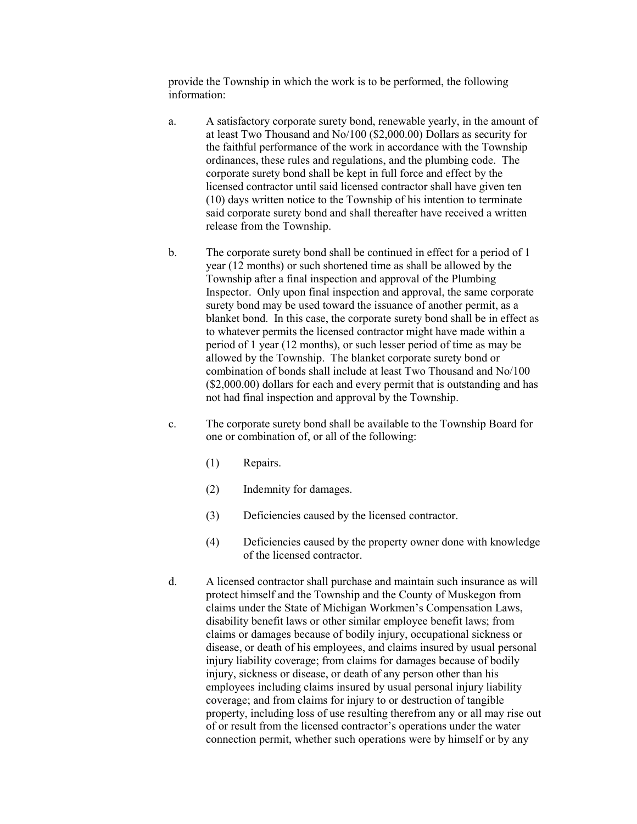provide the Township in which the work is to be performed, the following information:

- a. A satisfactory corporate surety bond, renewable yearly, in the amount of at least Two Thousand and No/100 (\$2,000.00) Dollars as security for the faithful performance of the work in accordance with the Township ordinances, these rules and regulations, and the plumbing code. The corporate surety bond shall be kept in full force and effect by the licensed contractor until said licensed contractor shall have given ten (10) days written notice to the Township of his intention to terminate said corporate surety bond and shall thereafter have received a written release from the Township.
- b. The corporate surety bond shall be continued in effect for a period of 1 year (12 months) or such shortened time as shall be allowed by the Township after a final inspection and approval of the Plumbing Inspector. Only upon final inspection and approval, the same corporate surety bond may be used toward the issuance of another permit, as a blanket bond. In this case, the corporate surety bond shall be in effect as to whatever permits the licensed contractor might have made within a period of 1 year (12 months), or such lesser period of time as may be allowed by the Township. The blanket corporate surety bond or combination of bonds shall include at least Two Thousand and No/100 (\$2,000.00) dollars for each and every permit that is outstanding and has not had final inspection and approval by the Township.
- c. The corporate surety bond shall be available to the Township Board for one or combination of, or all of the following:
	- (1) Repairs.
	- (2) Indemnity for damages.
	- (3) Deficiencies caused by the licensed contractor.
	- (4) Deficiencies caused by the property owner done with knowledge of the licensed contractor.
- d. A licensed contractor shall purchase and maintain such insurance as will protect himself and the Township and the County of Muskegon from claims under the State of Michigan Workmen's Compensation Laws, disability benefit laws or other similar employee benefit laws; from claims or damages because of bodily injury, occupational sickness or disease, or death of his employees, and claims insured by usual personal injury liability coverage; from claims for damages because of bodily injury, sickness or disease, or death of any person other than his employees including claims insured by usual personal injury liability coverage; and from claims for injury to or destruction of tangible property, including loss of use resulting therefrom any or all may rise out of or result from the licensed contractor's operations under the water connection permit, whether such operations were by himself or by any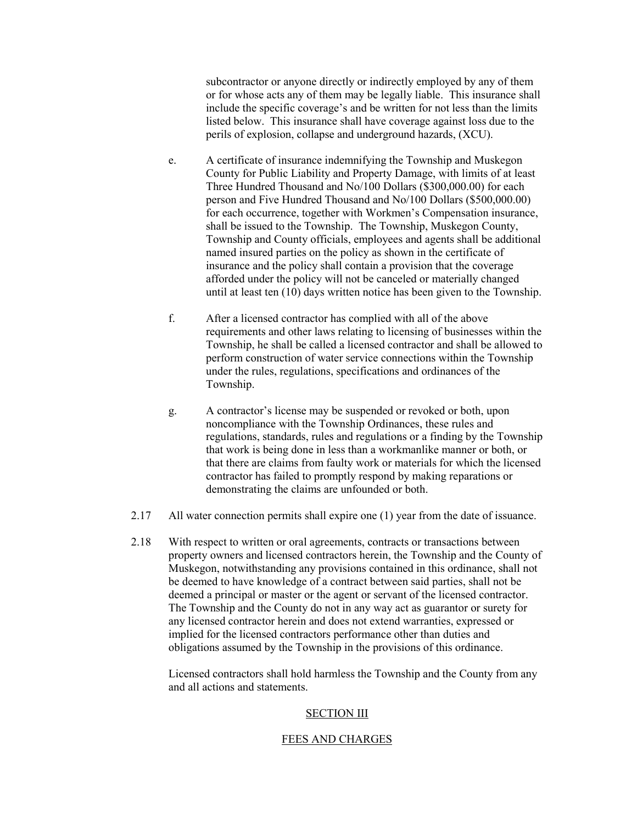subcontractor or anyone directly or indirectly employed by any of them or for whose acts any of them may be legally liable. This insurance shall include the specific coverage's and be written for not less than the limits listed below. This insurance shall have coverage against loss due to the perils of explosion, collapse and underground hazards, (XCU).

- e. A certificate of insurance indemnifying the Township and Muskegon County for Public Liability and Property Damage, with limits of at least Three Hundred Thousand and No/100 Dollars (\$300,000.00) for each person and Five Hundred Thousand and No/100 Dollars (\$500,000.00) for each occurrence, together with Workmen's Compensation insurance, shall be issued to the Township. The Township, Muskegon County, Township and County officials, employees and agents shall be additional named insured parties on the policy as shown in the certificate of insurance and the policy shall contain a provision that the coverage afforded under the policy will not be canceled or materially changed until at least ten (10) days written notice has been given to the Township.
- f. After a licensed contractor has complied with all of the above requirements and other laws relating to licensing of businesses within the Township, he shall be called a licensed contractor and shall be allowed to perform construction of water service connections within the Township under the rules, regulations, specifications and ordinances of the Township.
- g. A contractor's license may be suspended or revoked or both, upon noncompliance with the Township Ordinances, these rules and regulations, standards, rules and regulations or a finding by the Township that work is being done in less than a workmanlike manner or both, or that there are claims from faulty work or materials for which the licensed contractor has failed to promptly respond by making reparations or demonstrating the claims are unfounded or both.
- 2.17 All water connection permits shall expire one (1) year from the date of issuance.
- 2.18 With respect to written or oral agreements, contracts or transactions between property owners and licensed contractors herein, the Township and the County of Muskegon, notwithstanding any provisions contained in this ordinance, shall not be deemed to have knowledge of a contract between said parties, shall not be deemed a principal or master or the agent or servant of the licensed contractor. The Township and the County do not in any way act as guarantor or surety for any licensed contractor herein and does not extend warranties, expressed or implied for the licensed contractors performance other than duties and obligations assumed by the Township in the provisions of this ordinance.

 Licensed contractors shall hold harmless the Township and the County from any and all actions and statements.

#### SECTION III

#### FEES AND CHARGES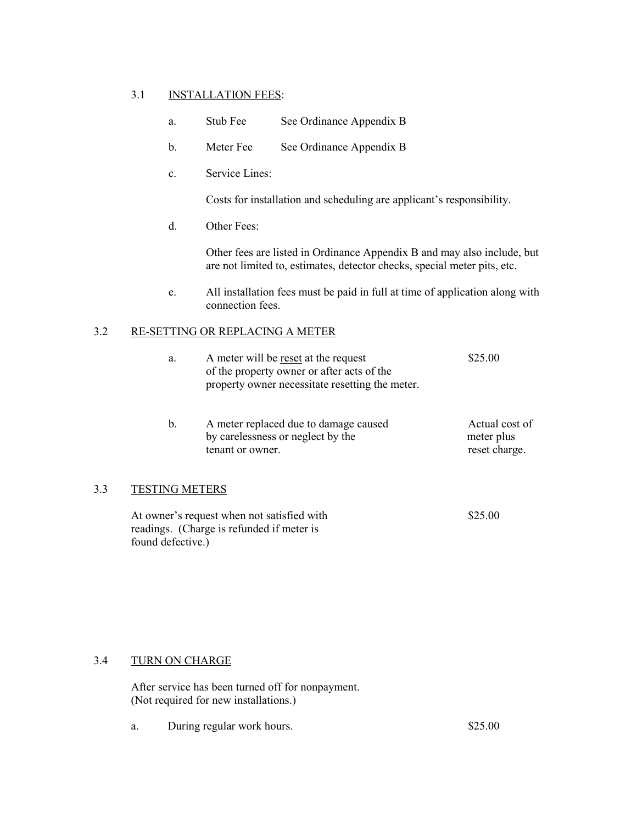## 3.1 INSTALLATION FEES:

- a. Stub Fee See Ordinance Appendix B
- b. Meter Fee See Ordinance Appendix B
- c. Service Lines:

Costs for installation and scheduling are applicant's responsibility.

d. Other Fees:

 Other fees are listed in Ordinance Appendix B and may also include, but are not limited to, estimates, detector checks, special meter pits, etc.

e. All installation fees must be paid in full at time of application along with connection fees.

## 3.2 RE-SETTING OR REPLACING A METER

|    | a.             | A meter will be reset at the request<br>of the property owner or after acts of the<br>property owner necessitate resetting the meter. | \$25.00                                       |
|----|----------------|---------------------------------------------------------------------------------------------------------------------------------------|-----------------------------------------------|
|    | $\mathbf b$ .  | A meter replaced due to damage caused<br>by carelessness or neglect by the<br>tenant or owner.                                        | Actual cost of<br>meter plus<br>reset charge. |
| 33 | TESTING METERS |                                                                                                                                       |                                               |
|    |                |                                                                                                                                       |                                               |

At owner's request when not satisfied with \$25.00 readings. (Charge is refunded if meter is found defective.)

# 3.4 TURN ON CHARGE

After service has been turned off for nonpayment. (Not required for new installations.)

a. During regular work hours. \$25.00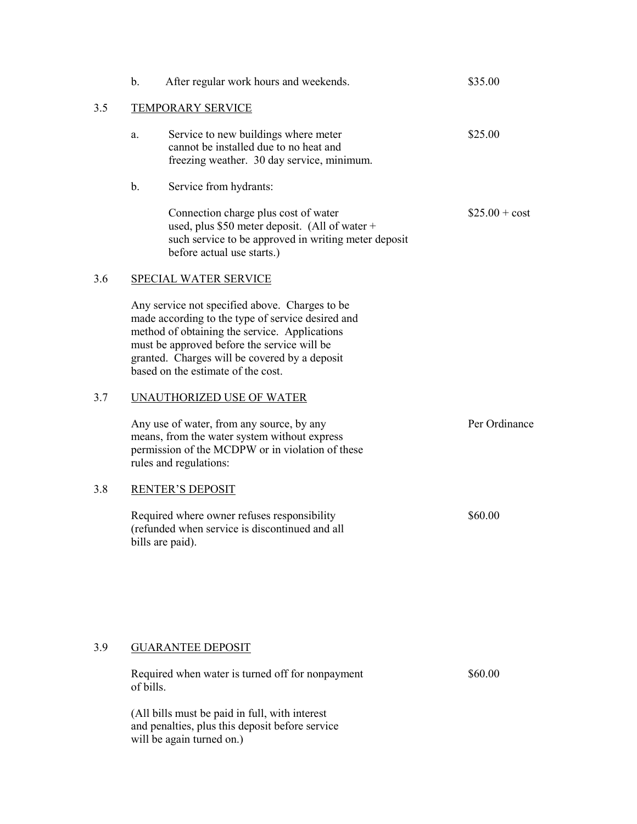|     | $\mathbf b$ . | After regular work hours and weekends.                                                                                                                                                                                                                                                     | \$35.00          |
|-----|---------------|--------------------------------------------------------------------------------------------------------------------------------------------------------------------------------------------------------------------------------------------------------------------------------------------|------------------|
| 3.5 |               | <b>TEMPORARY SERVICE</b>                                                                                                                                                                                                                                                                   |                  |
|     | a.            | Service to new buildings where meter<br>cannot be installed due to no heat and<br>freezing weather. 30 day service, minimum.                                                                                                                                                               | \$25.00          |
|     | $\mathbf b$ . | Service from hydrants:                                                                                                                                                                                                                                                                     |                  |
|     |               | Connection charge plus cost of water<br>used, plus $$50$ meter deposit. (All of water +<br>such service to be approved in writing meter deposit<br>before actual use starts.)                                                                                                              | $\$25.00 + cost$ |
| 3.6 |               | <b>SPECIAL WATER SERVICE</b>                                                                                                                                                                                                                                                               |                  |
|     |               | Any service not specified above. Charges to be<br>made according to the type of service desired and<br>method of obtaining the service. Applications<br>must be approved before the service will be<br>granted. Charges will be covered by a deposit<br>based on the estimate of the cost. |                  |
| 3.7 |               | <b>UNAUTHORIZED USE OF WATER</b>                                                                                                                                                                                                                                                           |                  |
|     |               | Any use of water, from any source, by any<br>means, from the water system without express<br>permission of the MCDPW or in violation of these<br>rules and regulations:                                                                                                                    | Per Ordinance    |
| 3.8 |               | <b>RENTER'S DEPOSIT</b>                                                                                                                                                                                                                                                                    |                  |
|     |               | Required where owner refuses responsibility<br>(refunded when service is discontinued and all<br>bills are paid).                                                                                                                                                                          | \$60.00          |
|     |               |                                                                                                                                                                                                                                                                                            |                  |
| 3.9 |               | <b>GUARANTEE DEPOSIT</b>                                                                                                                                                                                                                                                                   |                  |
|     | of bills.     | Required when water is turned off for nonpayment                                                                                                                                                                                                                                           | \$60.00          |
|     |               | (All bills must be paid in full, with interest<br>and penalties, plus this deposit before service<br>will be again turned on.)                                                                                                                                                             |                  |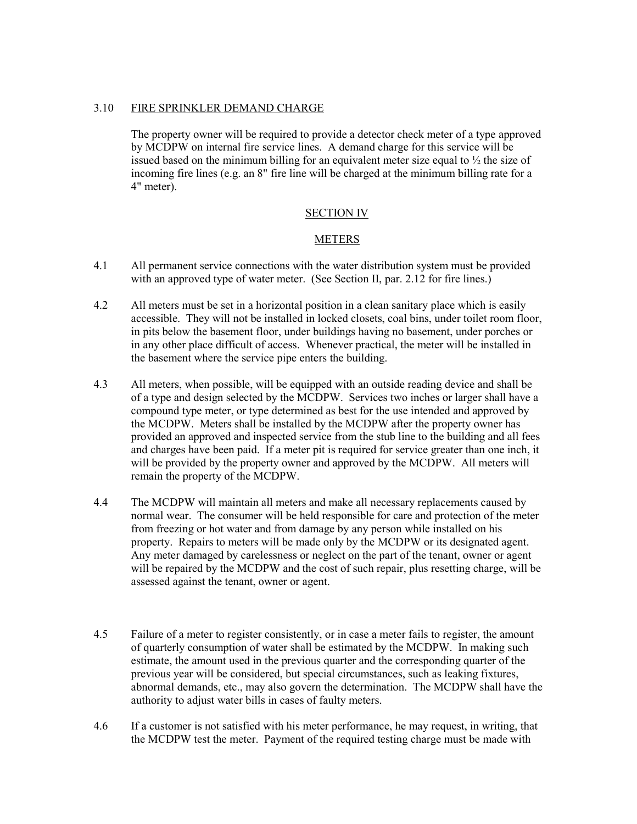## 3.10 FIRE SPRINKLER DEMAND CHARGE

The property owner will be required to provide a detector check meter of a type approved by MCDPW on internal fire service lines. A demand charge for this service will be issued based on the minimum billing for an equivalent meter size equal to ½ the size of incoming fire lines (e.g. an 8" fire line will be charged at the minimum billing rate for a 4" meter).

## SECTION IV

## METERS

- 4.1 All permanent service connections with the water distribution system must be provided with an approved type of water meter. (See Section II, par. 2.12 for fire lines.)
- 4.2 All meters must be set in a horizontal position in a clean sanitary place which is easily accessible. They will not be installed in locked closets, coal bins, under toilet room floor, in pits below the basement floor, under buildings having no basement, under porches or in any other place difficult of access. Whenever practical, the meter will be installed in the basement where the service pipe enters the building.
- 4.3 All meters, when possible, will be equipped with an outside reading device and shall be of a type and design selected by the MCDPW. Services two inches or larger shall have a compound type meter, or type determined as best for the use intended and approved by the MCDPW. Meters shall be installed by the MCDPW after the property owner has provided an approved and inspected service from the stub line to the building and all fees and charges have been paid. If a meter pit is required for service greater than one inch, it will be provided by the property owner and approved by the MCDPW. All meters will remain the property of the MCDPW.
- 4.4 The MCDPW will maintain all meters and make all necessary replacements caused by normal wear. The consumer will be held responsible for care and protection of the meter from freezing or hot water and from damage by any person while installed on his property. Repairs to meters will be made only by the MCDPW or its designated agent. Any meter damaged by carelessness or neglect on the part of the tenant, owner or agent will be repaired by the MCDPW and the cost of such repair, plus resetting charge, will be assessed against the tenant, owner or agent.
- 4.5 Failure of a meter to register consistently, or in case a meter fails to register, the amount of quarterly consumption of water shall be estimated by the MCDPW. In making such estimate, the amount used in the previous quarter and the corresponding quarter of the previous year will be considered, but special circumstances, such as leaking fixtures, abnormal demands, etc., may also govern the determination. The MCDPW shall have the authority to adjust water bills in cases of faulty meters.
- 4.6 If a customer is not satisfied with his meter performance, he may request, in writing, that the MCDPW test the meter. Payment of the required testing charge must be made with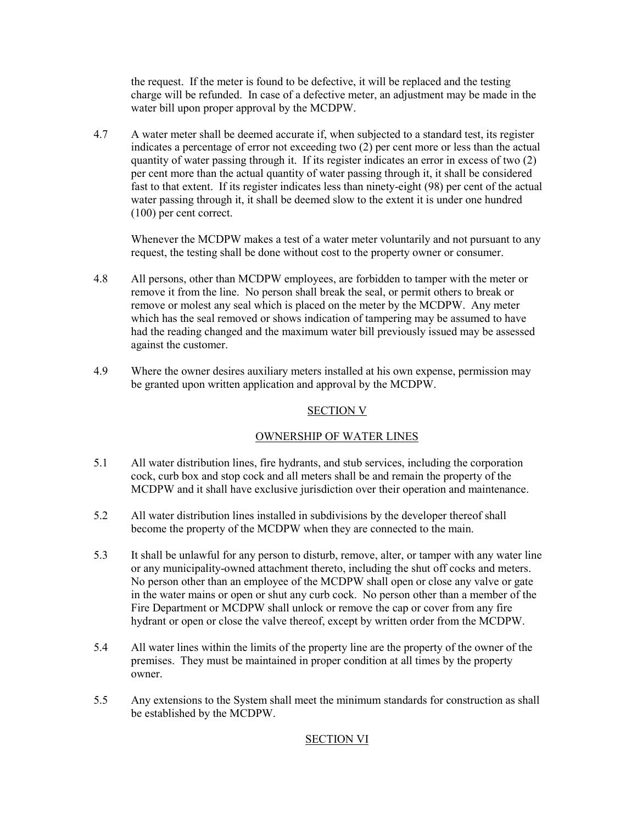the request. If the meter is found to be defective, it will be replaced and the testing charge will be refunded. In case of a defective meter, an adjustment may be made in the water bill upon proper approval by the MCDPW.

4.7 A water meter shall be deemed accurate if, when subjected to a standard test, its register indicates a percentage of error not exceeding two (2) per cent more or less than the actual quantity of water passing through it. If its register indicates an error in excess of two (2) per cent more than the actual quantity of water passing through it, it shall be considered fast to that extent. If its register indicates less than ninety-eight (98) per cent of the actual water passing through it, it shall be deemed slow to the extent it is under one hundred (100) per cent correct.

 Whenever the MCDPW makes a test of a water meter voluntarily and not pursuant to any request, the testing shall be done without cost to the property owner or consumer.

- 4.8 All persons, other than MCDPW employees, are forbidden to tamper with the meter or remove it from the line. No person shall break the seal, or permit others to break or remove or molest any seal which is placed on the meter by the MCDPW. Any meter which has the seal removed or shows indication of tampering may be assumed to have had the reading changed and the maximum water bill previously issued may be assessed against the customer.
- 4.9 Where the owner desires auxiliary meters installed at his own expense, permission may be granted upon written application and approval by the MCDPW.

## SECTION V

# OWNERSHIP OF WATER LINES

- 5.1 All water distribution lines, fire hydrants, and stub services, including the corporation cock, curb box and stop cock and all meters shall be and remain the property of the MCDPW and it shall have exclusive jurisdiction over their operation and maintenance.
- 5.2 All water distribution lines installed in subdivisions by the developer thereof shall become the property of the MCDPW when they are connected to the main.
- 5.3 It shall be unlawful for any person to disturb, remove, alter, or tamper with any water line or any municipality-owned attachment thereto, including the shut off cocks and meters. No person other than an employee of the MCDPW shall open or close any valve or gate in the water mains or open or shut any curb cock. No person other than a member of the Fire Department or MCDPW shall unlock or remove the cap or cover from any fire hydrant or open or close the valve thereof, except by written order from the MCDPW.
- 5.4 All water lines within the limits of the property line are the property of the owner of the premises. They must be maintained in proper condition at all times by the property owner.
- 5.5 Any extensions to the System shall meet the minimum standards for construction as shall be established by the MCDPW.

# SECTION VI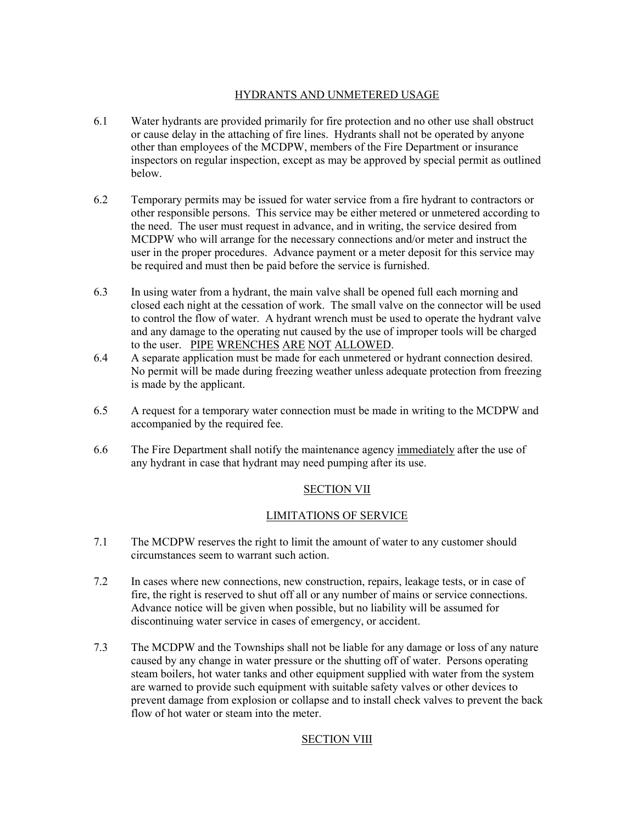# HYDRANTS AND UNMETERED USAGE

- 6.1 Water hydrants are provided primarily for fire protection and no other use shall obstruct or cause delay in the attaching of fire lines. Hydrants shall not be operated by anyone other than employees of the MCDPW, members of the Fire Department or insurance inspectors on regular inspection, except as may be approved by special permit as outlined below.
- 6.2 Temporary permits may be issued for water service from a fire hydrant to contractors or other responsible persons. This service may be either metered or unmetered according to the need. The user must request in advance, and in writing, the service desired from MCDPW who will arrange for the necessary connections and/or meter and instruct the user in the proper procedures. Advance payment or a meter deposit for this service may be required and must then be paid before the service is furnished.
- 6.3 In using water from a hydrant, the main valve shall be opened full each morning and closed each night at the cessation of work. The small valve on the connector will be used to control the flow of water. A hydrant wrench must be used to operate the hydrant valve and any damage to the operating nut caused by the use of improper tools will be charged to the user. PIPE WRENCHES ARE NOT ALLOWED.
- 6.4 A separate application must be made for each unmetered or hydrant connection desired. No permit will be made during freezing weather unless adequate protection from freezing is made by the applicant.
- 6.5 A request for a temporary water connection must be made in writing to the MCDPW and accompanied by the required fee.
- 6.6 The Fire Department shall notify the maintenance agency immediately after the use of any hydrant in case that hydrant may need pumping after its use.

# SECTION VII

## LIMITATIONS OF SERVICE

- 7.1 The MCDPW reserves the right to limit the amount of water to any customer should circumstances seem to warrant such action.
- 7.2 In cases where new connections, new construction, repairs, leakage tests, or in case of fire, the right is reserved to shut off all or any number of mains or service connections. Advance notice will be given when possible, but no liability will be assumed for discontinuing water service in cases of emergency, or accident.
- 7.3 The MCDPW and the Townships shall not be liable for any damage or loss of any nature caused by any change in water pressure or the shutting off of water. Persons operating steam boilers, hot water tanks and other equipment supplied with water from the system are warned to provide such equipment with suitable safety valves or other devices to prevent damage from explosion or collapse and to install check valves to prevent the back flow of hot water or steam into the meter.

## SECTION VIII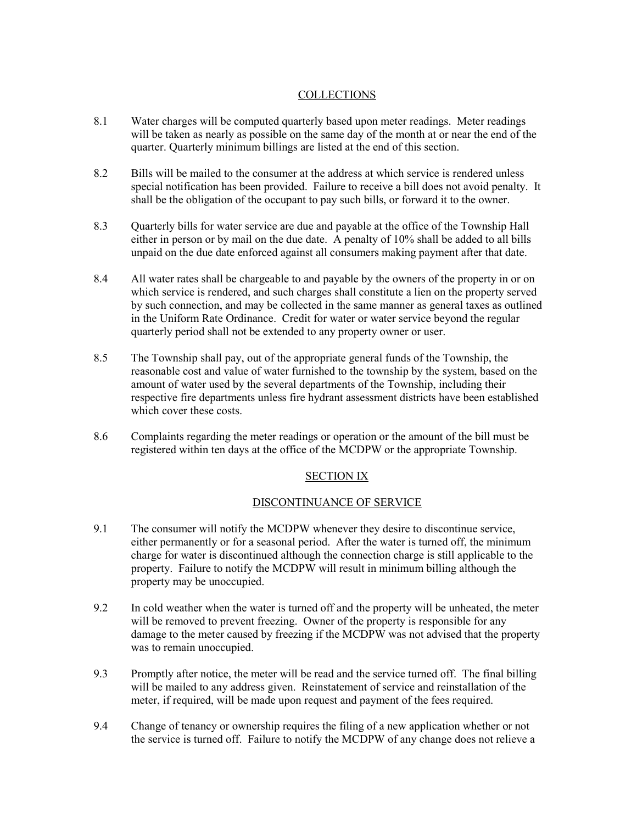## **COLLECTIONS**

- 8.1 Water charges will be computed quarterly based upon meter readings. Meter readings will be taken as nearly as possible on the same day of the month at or near the end of the quarter. Quarterly minimum billings are listed at the end of this section.
- 8.2 Bills will be mailed to the consumer at the address at which service is rendered unless special notification has been provided. Failure to receive a bill does not avoid penalty. It shall be the obligation of the occupant to pay such bills, or forward it to the owner.
- 8.3 Quarterly bills for water service are due and payable at the office of the Township Hall either in person or by mail on the due date. A penalty of 10% shall be added to all bills unpaid on the due date enforced against all consumers making payment after that date.
- 8.4 All water rates shall be chargeable to and payable by the owners of the property in or on which service is rendered, and such charges shall constitute a lien on the property served by such connection, and may be collected in the same manner as general taxes as outlined in the Uniform Rate Ordinance. Credit for water or water service beyond the regular quarterly period shall not be extended to any property owner or user.
- 8.5 The Township shall pay, out of the appropriate general funds of the Township, the reasonable cost and value of water furnished to the township by the system, based on the amount of water used by the several departments of the Township, including their respective fire departments unless fire hydrant assessment districts have been established which cover these costs.
- 8.6 Complaints regarding the meter readings or operation or the amount of the bill must be registered within ten days at the office of the MCDPW or the appropriate Township.

## SECTION IX

## DISCONTINUANCE OF SERVICE

- 9.1 The consumer will notify the MCDPW whenever they desire to discontinue service, either permanently or for a seasonal period. After the water is turned off, the minimum charge for water is discontinued although the connection charge is still applicable to the property. Failure to notify the MCDPW will result in minimum billing although the property may be unoccupied.
- 9.2 In cold weather when the water is turned off and the property will be unheated, the meter will be removed to prevent freezing. Owner of the property is responsible for any damage to the meter caused by freezing if the MCDPW was not advised that the property was to remain unoccupied.
- 9.3 Promptly after notice, the meter will be read and the service turned off. The final billing will be mailed to any address given. Reinstatement of service and reinstallation of the meter, if required, will be made upon request and payment of the fees required.
- 9.4 Change of tenancy or ownership requires the filing of a new application whether or not the service is turned off. Failure to notify the MCDPW of any change does not relieve a